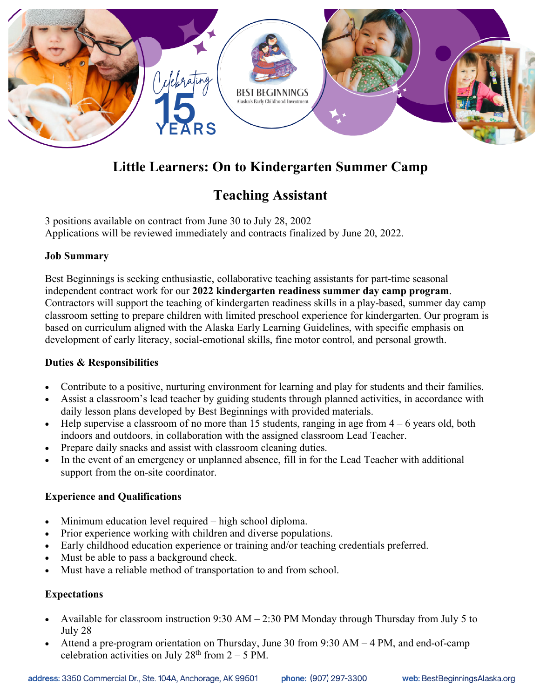

# **Little Learners: On to Kindergarten Summer Camp**

# **Teaching Assistant**

3 positions available on contract from June 30 to July 28, 2002 Applications will be reviewed immediately and contracts finalized by June 20, 2022.

### **Job Summary**

Best Beginnings is seeking enthusiastic, collaborative teaching assistants for part-time seasonal independent contract work for our **2022 kindergarten readiness summer day camp program**. Contractors will support the teaching of kindergarten readiness skills in a play-based, summer day camp classroom setting to prepare children with limited preschool experience for kindergarten. Our program is based on curriculum aligned with the Alaska Early Learning Guidelines, with specific emphasis on development of early literacy, social-emotional skills, fine motor control, and personal growth.

#### **Duties & Responsibilities**

- Contribute to a positive, nurturing environment for learning and play for students and their families.
- Assist a classroom's lead teacher by guiding students through planned activities, in accordance with daily lesson plans developed by Best Beginnings with provided materials.
- Help supervise a classroom of no more than 15 students, ranging in age from  $4 6$  years old, both indoors and outdoors, in collaboration with the assigned classroom Lead Teacher.
- Prepare daily snacks and assist with classroom cleaning duties.
- In the event of an emergency or unplanned absence, fill in for the Lead Teacher with additional support from the on-site coordinator.

## **Experience and Qualifications**

- Minimum education level required high school diploma.
- Prior experience working with children and diverse populations.
- Early childhood education experience or training and/or teaching credentials preferred.
- Must be able to pass a background check.
- Must have a reliable method of transportation to and from school.

## **Expectations**

- Available for classroom instruction 9:30 AM 2:30 PM Monday through Thursday from July 5 to July 28
- Attend a pre-program orientation on Thursday, June 30 from 9:30 AM 4 PM, and end-of-camp celebration activities on July  $28<sup>th</sup>$  from  $2 - 5$  PM.